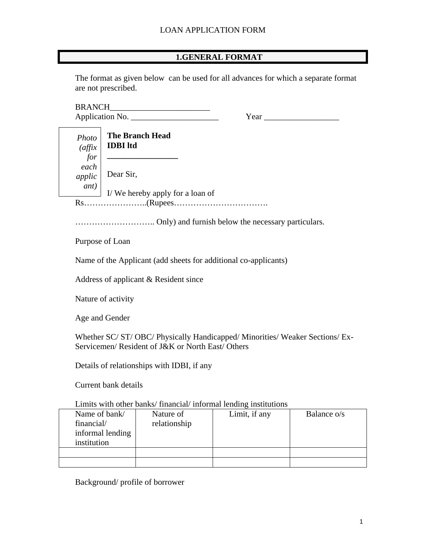## **1.GENERAL FORMAT**

The format as given below can be used for all advances for which a separate format are not prescribed.

BRANCH\_\_\_\_\_\_\_\_\_\_\_\_\_\_\_\_\_\_\_\_\_\_\_\_ Application No. \_\_\_\_\_\_\_\_\_\_\_\_\_\_\_\_\_\_\_\_\_ Year \_\_\_\_\_\_\_\_\_\_\_\_\_\_\_\_\_\_

| $ -$<br>$\sim$ |
|----------------|
|----------------|

| Photo<br>$\int$ affix | <b>The Branch Head</b><br><b>IDBI</b> ltd |
|-----------------------|-------------------------------------------|
| for                   |                                           |
| each<br>applic        | Dear Sir,                                 |
| ant)                  | I/We hereby apply for a loan of           |
| Rs                    |                                           |

……………………….. Only) and furnish below the necessary particulars.

Purpose of Loan

Name of the Applicant (add sheets for additional co-applicants)

Address of applicant & Resident since

Nature of activity

Age and Gender

Whether SC/ ST/ OBC/ Physically Handicapped/ Minorities/ Weaker Sections/ Ex-Servicemen/ Resident of J&K or North East/ Others

Details of relationships with IDBI, if any

Current bank details

Limits with other banks/ financial/ informal lending institutions

| Name of bank/<br>financial/     | Nature of<br>relationship | Limit, if any | Balance o/s |
|---------------------------------|---------------------------|---------------|-------------|
| informal lending<br>institution |                           |               |             |
|                                 |                           |               |             |
|                                 |                           |               |             |

Background/ profile of borrower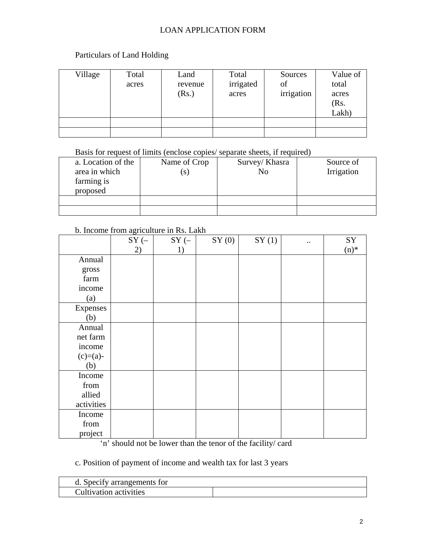# Particulars of Land Holding

| Village | Total<br>acres | Land<br>revenue<br>(Rs.) | Total<br>irrigated<br>acres | Sources<br>of<br>irrigation | Value of<br>total<br>acres<br>(Rs.<br>Lakh) |
|---------|----------------|--------------------------|-----------------------------|-----------------------------|---------------------------------------------|
|         |                |                          |                             |                             |                                             |
|         |                |                          |                             |                             |                                             |

# Basis for request of limits (enclose copies/ separate sheets, if required)

| a. Location of the<br>area in which | Name of Crop | Survey/ Khasra<br>No | Source of<br>Irrigation |
|-------------------------------------|--------------|----------------------|-------------------------|
| farming is<br>proposed              |              |                      |                         |
|                                     |              |                      |                         |
|                                     |              |                      |                         |

## b. Income from agriculture in Rs. Lakh

|            | $SY$ (- | $SY$ (- | SY(0) | SY(1) | $\ddotsc$ | SY      |
|------------|---------|---------|-------|-------|-----------|---------|
|            | 2)      | 1)      |       |       |           | $(n)$ * |
| Annual     |         |         |       |       |           |         |
| gross      |         |         |       |       |           |         |
| farm       |         |         |       |       |           |         |
| income     |         |         |       |       |           |         |
| (a)        |         |         |       |       |           |         |
| Expenses   |         |         |       |       |           |         |
| (b)        |         |         |       |       |           |         |
| Annual     |         |         |       |       |           |         |
| net farm   |         |         |       |       |           |         |
| income     |         |         |       |       |           |         |
| $(c)=(a)-$ |         |         |       |       |           |         |
| (b)        |         |         |       |       |           |         |
| Income     |         |         |       |       |           |         |
| from       |         |         |       |       |           |         |
| allied     |         |         |       |       |           |         |
| activities |         |         |       |       |           |         |
| Income     |         |         |       |       |           |         |
| from       |         |         |       |       |           |         |
| project    |         |         |       |       |           |         |

'n' should not be lower than the tenor of the facility/ card

c. Position of payment of income and wealth tax for last 3 years

| d. Specify arrangements for |  |
|-----------------------------|--|
| Cultivation activities      |  |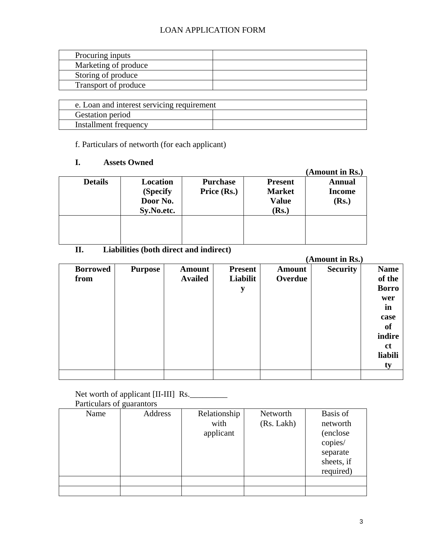| Procuring inputs     |  |
|----------------------|--|
| Marketing of produce |  |
| Storing of produce   |  |
| Transport of produce |  |

| e. Loan and interest servicing requirement |  |  |
|--------------------------------------------|--|--|
| Gestation period                           |  |  |
| Installment frequency                      |  |  |

f. Particulars of networth (for each applicant)

## **I. Assets Owned**

|                |                                                |                                |                                                          | (Amount in Rs.)                         |
|----------------|------------------------------------------------|--------------------------------|----------------------------------------------------------|-----------------------------------------|
| <b>Details</b> | Location<br>(Specify<br>Door No.<br>Sy.No.etc. | <b>Purchase</b><br>Price (Rs.) | <b>Present</b><br><b>Market</b><br><b>Value</b><br>(Rs.) | <b>Annual</b><br><b>Income</b><br>(Rs.) |
|                |                                                |                                |                                                          |                                         |

# **II. Liabilities (both direct and indirect)**

|               | (Amount in Rs.) |               |                |                |                |                 |
|---------------|-----------------|---------------|----------------|----------------|----------------|-----------------|
| <b>Name</b>   | <b>Security</b> | <b>Amount</b> | <b>Present</b> | <b>Amount</b>  | <b>Purpose</b> | <b>Borrowed</b> |
| of the        |                 | Overdue       | Liabilit       | <b>Availed</b> |                | from            |
| <b>Borro</b>  |                 |               | y              |                |                |                 |
| wer           |                 |               |                |                |                |                 |
| in            |                 |               |                |                |                |                 |
| case          |                 |               |                |                |                |                 |
| <b>of</b>     |                 |               |                |                |                |                 |
| indire        |                 |               |                |                |                |                 |
| <sub>ct</sub> |                 |               |                |                |                |                 |
| liabili       |                 |               |                |                |                |                 |
| ty            |                 |               |                |                |                |                 |

## Net worth of applicant [II-III] Rs.

| Particulars of guarantors |         |                                   |                        |                                                                                     |
|---------------------------|---------|-----------------------------------|------------------------|-------------------------------------------------------------------------------------|
| Name                      | Address | Relationship<br>with<br>applicant | Networth<br>(Rs. Lakh) | Basis of<br>networth<br>(enclose)<br>copies/<br>separate<br>sheets, if<br>required) |
|                           |         |                                   |                        |                                                                                     |
|                           |         |                                   |                        |                                                                                     |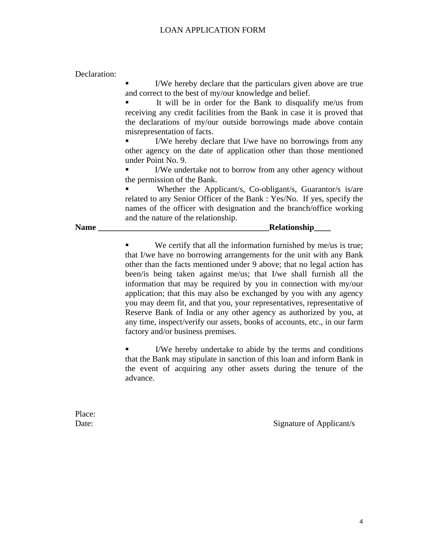#### Declaration:

 I/We hereby declare that the particulars given above are true and correct to the best of my/our knowledge and belief.

 It will be in order for the Bank to disqualify me/us from receiving any credit facilities from the Bank in case it is proved that the declarations of my/our outside borrowings made above contain misrepresentation of facts.

 I/We hereby declare that I/we have no borrowings from any other agency on the date of application other than those mentioned under Point No. 9.

 I/We undertake not to borrow from any other agency without the permission of the Bank.

 Whether the Applicant/s, Co-obligant/s, Guarantor/s is/are related to any Senior Officer of the Bank : Yes/No. If yes, specify the names of the officer with designation and the branch/office working and the nature of the relationship.

#### **Name \_\_\_\_\_\_\_\_\_\_\_\_\_\_\_\_\_\_\_\_\_\_\_\_\_\_\_\_\_\_\_\_\_\_\_\_\_\_\_\_\_Relationship\_\_\_\_**

We certify that all the information furnished by me/us is true; that I/we have no borrowing arrangements for the unit with any Bank other than the facts mentioned under 9 above; that no legal action has been/is being taken against me/us; that I/we shall furnish all the information that may be required by you in connection with my/our application; that this may also be exchanged by you with any agency you may deem fit, and that you, your representatives, representative of Reserve Bank of India or any other agency as authorized by you, at any time, inspect/verify our assets, books of accounts, etc., in our farm factory and/or business premises.

 I/We hereby undertake to abide by the terms and conditions that the Bank may stipulate in sanction of this loan and inform Bank in the event of acquiring any other assets during the tenure of the advance.

Place:

Date: Signature of Applicant/s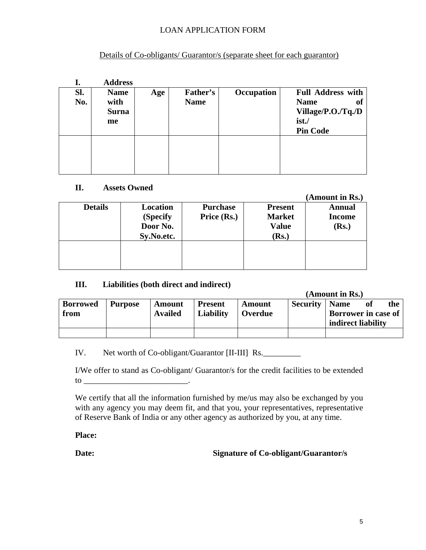## Details of Co-obligants/ Guarantor/s (separate sheet for each guarantor)

| ı.         | <b>Address</b>                            |     |                         |            |                                                                                                 |
|------------|-------------------------------------------|-----|-------------------------|------------|-------------------------------------------------------------------------------------------------|
| SI.<br>No. | <b>Name</b><br>with<br><b>Surna</b><br>me | Age | Father's<br><b>Name</b> | Occupation | <b>Full Address with</b><br><b>Name</b><br>of<br>Village/P.O./Tq./D<br>ist./<br><b>Pin Code</b> |
|            |                                           |     |                         |            |                                                                                                 |

### **II. Assets Owned**

|                |                                                |                                |                                                          | (Amount in Rs.)                         |
|----------------|------------------------------------------------|--------------------------------|----------------------------------------------------------|-----------------------------------------|
| <b>Details</b> | Location<br>(Specify<br>Door No.<br>Sy.No.etc. | <b>Purchase</b><br>Price (Rs.) | <b>Present</b><br><b>Market</b><br><b>Value</b><br>(Rs.) | <b>Annual</b><br><b>Income</b><br>(Rs.) |
|                |                                                |                                |                                                          |                                         |

## **III. Liabilities (both direct and indirect)**

|                         |                |                          |                             |                   |                               | (Amount in Rs.)                           |    |     |
|-------------------------|----------------|--------------------------|-----------------------------|-------------------|-------------------------------|-------------------------------------------|----|-----|
| <b>Borrowed</b><br>from | <b>Purpose</b> | Amount<br><b>Availed</b> | <b>Present</b><br>Liability | Amount<br>Overdue | <b>Security</b>   <b>Name</b> | Borrower in case of<br>indirect liability | of | the |
|                         |                |                          |                             |                   |                               |                                           |    |     |

IV. Net worth of Co-obligant/Guarantor [II-III] Rs.

I/We offer to stand as Co-obligant/ Guarantor/s for the credit facilities to be extended to \_\_\_\_\_\_\_\_\_\_\_\_\_\_\_\_\_\_\_\_\_\_\_\_\_.

We certify that all the information furnished by me/us may also be exchanged by you with any agency you may deem fit, and that you, your representatives, representative of Reserve Bank of India or any other agency as authorized by you, at any time.

**Place:** 

**Date: Signature of Co-obligant/Guarantor/s**